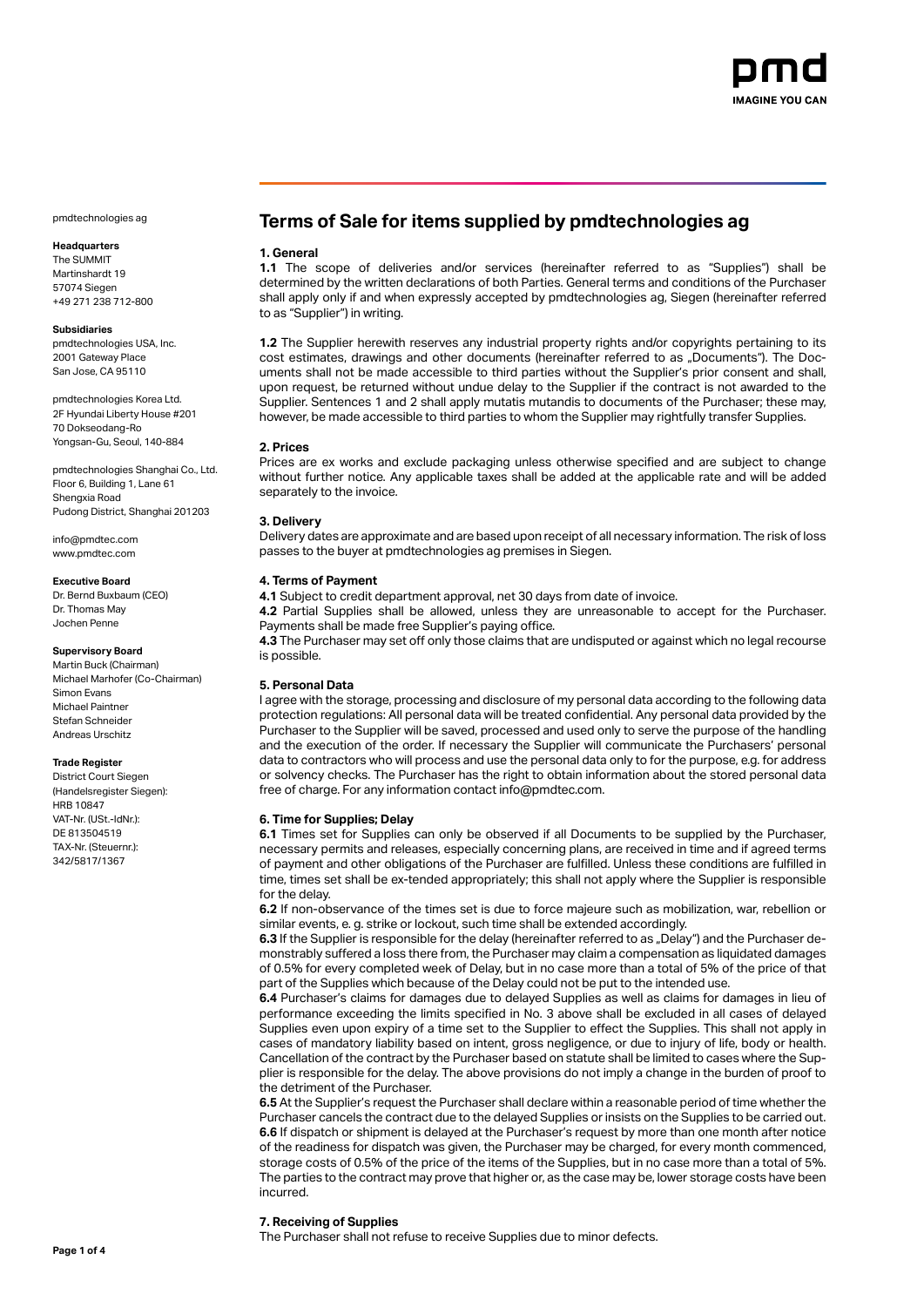

# **Headquarters**

The SUMMIT Martinshardt 19 57074 Siegen +49 271 238 712-800

# **Subsidiaries**

pmdtechnologies USA, Inc. 2001 Gateway Place San Jose, CA 95110

pmdtechnologies Korea Ltd. 2F Hyundai Liberty House #201 70 Dokseodang-Ro Yongsan-Gu, Seoul, 140-884

pmdtechnologies Shanghai Co., Ltd. Floor 6, Building 1, Lane 61 Shengxia Road Pudong District, Shanghai 201203

info@pmdtec.com www.pmdtec.com

#### **Executive Board**

Dr. Bernd Buxbaum (CEO) Dr. Thomas May Jochen Penne

# **Supervisory Board**

Martin Buck (Chairman) Michael Marhofer (Co-Chairman) Simon Evans Michael Paintner Stefan Schneider Andreas Urschitz

### **Trade Register**

District Court Siegen (Handelsregister Siegen): HRB 10847 VAT-Nr. (USt.-IdNr.): DE 813504519 TAX-Nr. (Steuernr.): 342/5817/1367

# **Terms of Sale for items supplied by pmdtechnologies ag**

### **1. General**

**1.1** The scope of deliveries and/or services (hereinafter referred to as "Supplies") shall be determined by the written declarations of both Parties. General terms and conditions of the Purchaser shall apply only if and when expressly accepted by pmdtechnologies ag, Siegen (hereinafter referred to as "Supplier") in writing.

**1.2** The Supplier herewith reserves any industrial property rights and/or copyrights pertaining to its cost estimates, drawings and other documents (hereinafter referred to as "Documents"). The Documents shall not be made accessible to third parties without the Supplier's prior consent and shall, upon request, be returned without undue delay to the Supplier if the contract is not awarded to the Supplier. Sentences 1 and 2 shall apply mutatis mutandis to documents of the Purchaser; these may, however, be made accessible to third parties to whom the Supplier may rightfully transfer Supplies.

### **2. Prices**

Prices are ex works and exclude packaging unless otherwise specified and are subject to change without further notice. Any applicable taxes shall be added at the applicable rate and will be added separately to the invoice.

# **3. Delivery**

Delivery dates are approximate and are based upon receipt of all necessary information. The risk of loss passes to the buyer at pmdtechnologies ag premises in Siegen.

# **4. Terms of Payment**

**4.1** Subject to credit department approval, net 30 days from date of invoice.

**4.2** Partial Supplies shall be allowed, unless they are unreasonable to accept for the Purchaser. Payments shall be made free Supplier's paying office.

**4.3** The Purchaser may set off only those claims that are undisputed or against which no legal recourse is possible.

# **5. Personal Data**

I agree with the storage, processing and disclosure of my personal data according to the following data protection regulations: All personal data will be treated confidential. Any personal data provided by the Purchaser to the Supplier will be saved, processed and used only to serve the purpose of the handling and the execution of the order. If necessary the Supplier will communicate the Purchasers' personal data to contractors who will process and use the personal data only to for the purpose, e.g. for address or solvency checks. The Purchaser has the right to obtain information about the stored personal data free of charge. For any information contact info@pmdtec.com.

### **6. Time for Supplies; Delay**

**6.1** Times set for Supplies can only be observed if all Documents to be supplied by the Purchaser, necessary permits and releases, especially concerning plans, are received in time and if agreed terms of payment and other obligations of the Purchaser are fulfilled. Unless these conditions are fulfilled in time, times set shall be ex-tended appropriately; this shall not apply where the Supplier is responsible for the delay.

**6.2** If non-observance of the times set is due to force majeure such as mobilization, war, rebellion or similar events, e. g. strike or lockout, such time shall be extended accordingly.

**6.3** If the Supplier is responsible for the delay (hereinafter referred to as "Delay") and the Purchaser demonstrably suffered a loss there from, the Purchaser may claim a compensation as liquidated damages of 0.5% for every completed week of Delay, but in no case more than a total of 5% of the price of that part of the Supplies which because of the Delay could not be put to the intended use.

**6.4** Purchaser's claims for damages due to delayed Supplies as well as claims for damages in lieu of performance exceeding the limits specified in No. 3 above shall be excluded in all cases of delayed Supplies even upon expiry of a time set to the Supplier to effect the Supplies. This shall not apply in cases of mandatory liability based on intent, gross negligence, or due to injury of life, body or health. Cancellation of the contract by the Purchaser based on statute shall be limited to cases where the Supplier is responsible for the delay. The above provisions do not imply a change in the burden of proof to the detriment of the Purchaser.

**6.5** At the Supplier's request the Purchaser shall declare within a reasonable period of time whether the Purchaser cancels the contract due to the delayed Supplies or insists on the Supplies to be carried out. **6.6** If dispatch or shipment is delayed at the Purchaser's request by more than one month after notice of the readiness for dispatch was given, the Purchaser may be charged, for every month commenced, storage costs of 0.5% of the price of the items of the Supplies, but in no case more than a total of 5%. The parties to the contract may prove that higher or, as the case may be, lower storage costs have been incurred.

# **7. Receiving of Supplies**

The Purchaser shall not refuse to receive Supplies due to minor defects.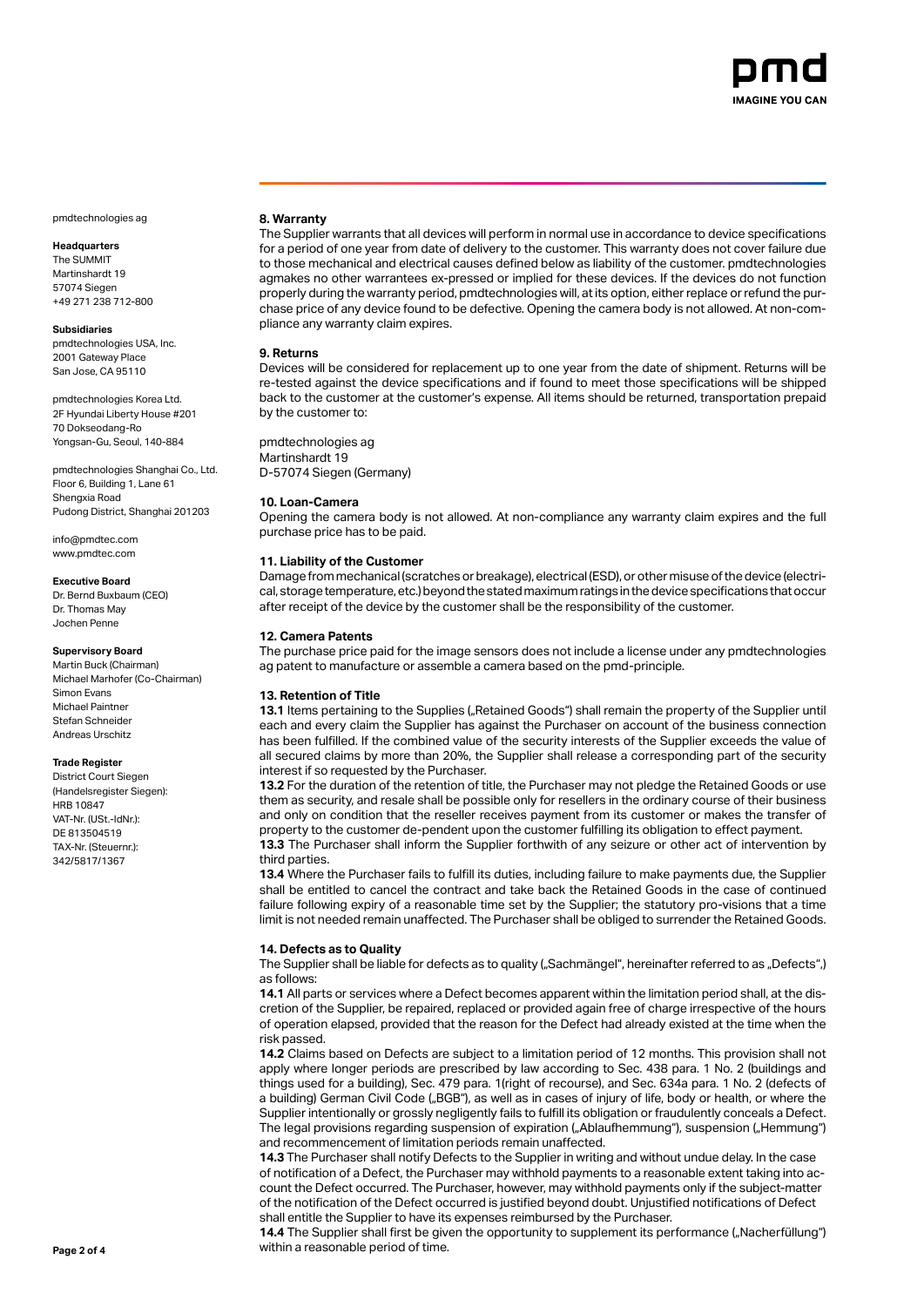

# **Headquarters**

The SUMMIT Martinshardt 19 57074 Siegen +49 271 238 712-800

### **Subsidiaries**

pmdtechnologies USA, Inc. 2001 Gateway Place San Jose, CA 95110

pmdtechnologies Korea Ltd. 2F Hyundai Liberty House #201 70 Dokseodang-Ro Yongsan-Gu, Seoul, 140-884

pmdtechnologies Shanghai Co., Ltd. Floor 6, Building 1, Lane 61 Shengxia Road Pudong District, Shanghai 201203

info@pmdtec.com www.pmdtec.com

### **Executive Board**

Dr. Bernd Buxbaum (CEO) Dr. Thomas May Jochen Penne

# **Supervisory Board**

Martin Buck (Chairman) Michael Marhofer (Co-Chairman) Simon Evans Michael Paintner Stefan Schneider Andreas Urschitz

### **Trade Register**

District Court Siegen (Handelsregister Siegen): HRB 10847 VAT-Nr. (USt.-IdNr.): DE 813504519 TAX-Nr. (Steuernr.): 342/5817/1367

### **8. Warranty**

The Supplier warrants that all devices will perform in normal use in accordance to device specifications for a period of one year from date of delivery to the customer. This warranty does not cover failure due to those mechanical and electrical causes defined below as liability of the customer. pmdtechnologies agmakes no other warrantees ex-pressed or implied for these devices. If the devices do not function properly during the warranty period, pmdtechnologies will, at its option, either replace or refund the purchase price of any device found to be defective. Opening the camera body is not allowed. At non-compliance any warranty claim expires.

# **9. Returns**

Devices will be considered for replacement up to one year from the date of shipment. Returns will be re-tested against the device specifications and if found to meet those specifications will be shipped back to the customer at the customer's expense. All items should be returned, transportation prepaid by the customer to:

pmdtechnologies ag Martinshardt 19 D-57074 Siegen (Germany)

# **10. Loan-Camera**

Opening the camera body is not allowed. At non-compliance any warranty claim expires and the full purchase price has to be paid.

# **11. Liability of the Customer**

Damage from mechanical (scratches or breakage), electrical (ESD), or other misuse of the device (electrical, storage temperature, etc.) beyond the stated maximum ratings in the device specifications that occur after receipt of the device by the customer shall be the responsibility of the customer.

# **12. Camera Patents**

The purchase price paid for the image sensors does not include a license under any pmdtechnologies ag patent to manufacture or assemble a camera based on the pmd-principle.

### **13. Retention of Title**

13.1 Items pertaining to the Supplies ("Retained Goods") shall remain the property of the Supplier until each and every claim the Supplier has against the Purchaser on account of the business connection has been fulfilled. If the combined value of the security interests of the Supplier exceeds the value of all secured claims by more than 20%, the Supplier shall release a corresponding part of the security interest if so requested by the Purchaser.

**13.2** For the duration of the retention of title, the Purchaser may not pledge the Retained Goods or use them as security, and resale shall be possible only for resellers in the ordinary course of their business and only on condition that the reseller receives payment from its customer or makes the transfer of property to the customer de-pendent upon the customer fulfilling its obligation to effect payment.

**13.3** The Purchaser shall inform the Supplier forthwith of any seizure or other act of intervention by third parties.

**13.4** Where the Purchaser fails to fulfill its duties, including failure to make payments due, the Supplier shall be entitled to cancel the contract and take back the Retained Goods in the case of continued failure following expiry of a reasonable time set by the Supplier; the statutory pro-visions that a time limit is not needed remain unaffected. The Purchaser shall be obliged to surrender the Retained Goods.

### **14. Defects as to Quality**

The Supplier shall be liable for defects as to quality ("Sachmängel", hereinafter referred to as "Defects",) as follows:

**14.1** All parts or services where a Defect becomes apparent within the limitation period shall, at the discretion of the Supplier, be repaired, replaced or provided again free of charge irrespective of the hours of operation elapsed, provided that the reason for the Defect had already existed at the time when the risk passed.

**14.2** Claims based on Defects are subject to a limitation period of 12 months. This provision shall not apply where longer periods are prescribed by law according to Sec. 438 para. 1 No. 2 (buildings and things used for a building), Sec. 479 para. 1(right of recourse), and Sec. 634a para. 1 No. 2 (defects of a building) German Civil Code ("BGB"), as well as in cases of injury of life, body or health, or where the Supplier intentionally or grossly negligently fails to fulfill its obligation or fraudulently conceals a Defect. The legal provisions regarding suspension of expiration ("Ablaufhemmung"), suspension ("Hemmung") and recommencement of limitation periods remain unaffected.

**14.3** The Purchaser shall notify Defects to the Supplier in writing and without undue delay. In the case of notification of a Defect, the Purchaser may withhold payments to a reasonable extent taking into account the Defect occurred. The Purchaser, however, may withhold payments only if the subject-matter of the notification of the Defect occurred is justified beyond doubt. Unjustified notifications of Defect shall entitle the Supplier to have its expenses reimbursed by the Purchaser.

14.4 The Supplier shall first be given the opportunity to supplement its performance ("Nacherfüllung") **Page 2 of 4** within a reasonable period of time.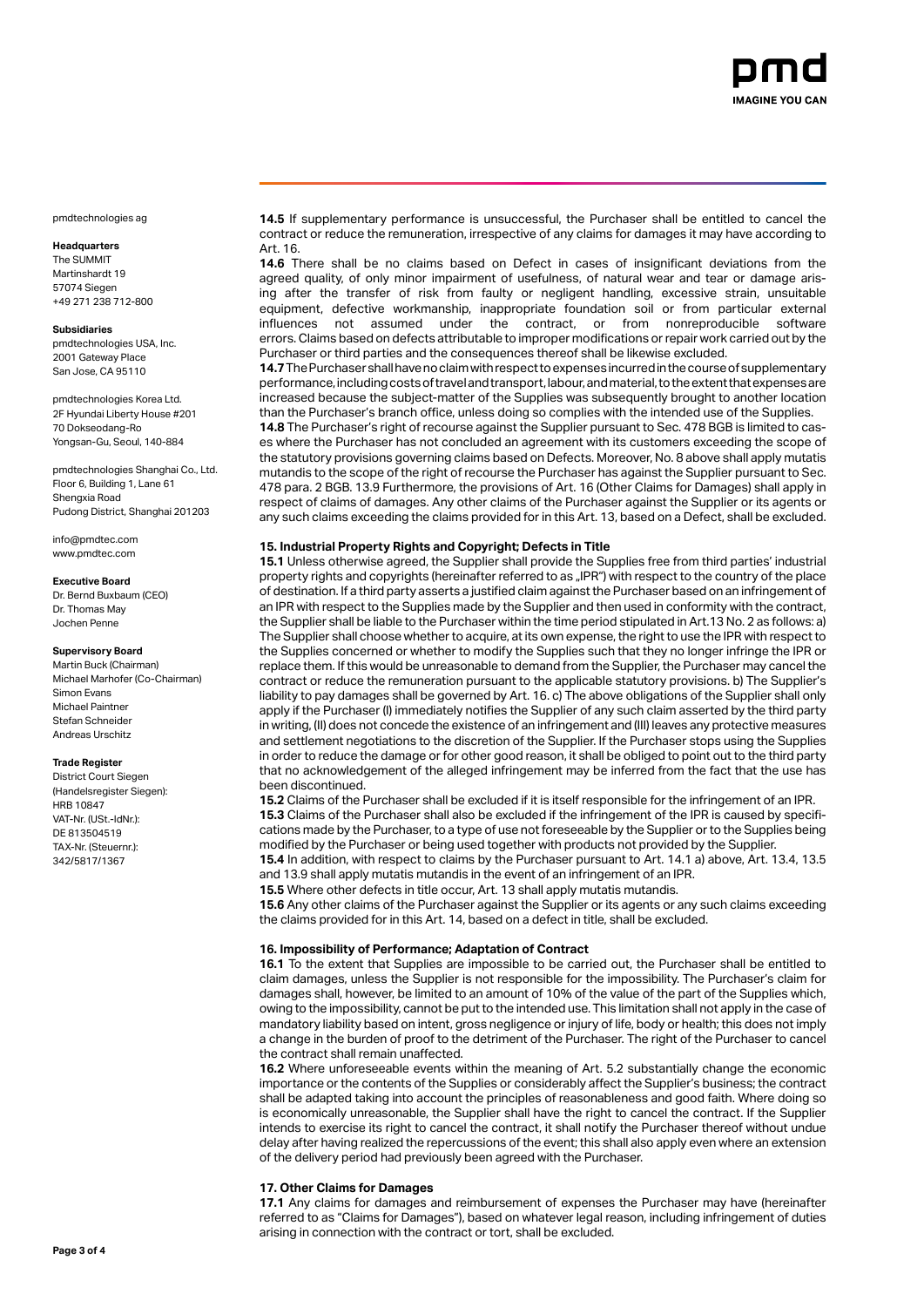

# **Headquarters**

The SUMMIT Martinshardt 19 57074 Siegen +49 271 238 712-800

### **Subsidiaries**

pmdtechnologies USA, Inc. 2001 Gateway Place San Jose, CA 95110

pmdtechnologies Korea Ltd. 2F Hyundai Liberty House #201 70 Dokseodang-Ro Yongsan-Gu, Seoul, 140-884

pmdtechnologies Shanghai Co., Ltd. Floor 6, Building 1, Lane 61 Shengxia Road Pudong District, Shanghai 201203

info@pmdtec.com www.pmdtec.com

#### **Executive Board**

Dr. Bernd Buxbaum (CEO) Dr. Thomas May Jochen Penne

# **Supervisory Board**

Martin Buck (Chairman) Michael Marhofer (Co-Chairman) Simon Evans Michael Paintner Stefan Schneider Andreas Urschitz

### **Trade Register**

District Court Siegen (Handelsregister Siegen): HRB 10847 VAT-Nr. (USt.-IdNr.): DE 813504519 TAX-Nr. (Steuernr.): 342/5817/1367

**14.5** If supplementary performance is unsuccessful, the Purchaser shall be entitled to cancel the contract or reduce the remuneration, irrespective of any claims for damages it may have according to Art. 16.

**14.6** There shall be no claims based on Defect in cases of insignificant deviations from the agreed quality, of only minor impairment of usefulness, of natural wear and tear or damage arising after the transfer of risk from faulty or negligent handling, excessive strain, unsuitable equipment, defective workmanship, inappropriate foundation soil or from particular external<br>
influences not assumed under the contract, or from nonreproducible software contract, or from nonreproducible errors. Claims based on defects attributable to improper modifications or repair work carried out by the Purchaser or third parties and the consequences thereof shall be likewise excluded.

**14.7** The Purchaser shall have no claim with respect to expenses incurred in the course of supplementary performance, including costs of travel and transport, labour, and material, to the extent that expenses are increased because the subject-matter of the Supplies was subsequently brought to another location than the Purchaser's branch office, unless doing so complies with the intended use of the Supplies.

**14.8** The Purchaser's right of recourse against the Supplier pursuant to Sec. 478 BGB is limited to cases where the Purchaser has not concluded an agreement with its customers exceeding the scope of the statutory provisions governing claims based on Defects. Moreover, No. 8 above shall apply mutatis mutandis to the scope of the right of recourse the Purchaser has against the Supplier pursuant to Sec. 478 para. 2 BGB. 13.9 Furthermore, the provisions of Art. 16 (Other Claims for Damages) shall apply in respect of claims of damages. Any other claims of the Purchaser against the Supplier or its agents or any such claims exceeding the claims provided for in this Art. 13, based on a Defect, shall be excluded.

### **15. Industrial Property Rights and Copyright; Defects in Title**

**15.1** Unless otherwise agreed, the Supplier shall provide the Supplies free from third parties' industrial property rights and copyrights (hereinafter referred to as "IPR") with respect to the country of the place of destination. If a third party asserts a justified claim against the Purchaser based on an infringement of an IPR with respect to the Supplies made by the Supplier and then used in conformity with the contract, the Supplier shall be liable to the Purchaser within the time period stipulated in Art.13 No. 2 as follows: a) The Supplier shall choose whether to acquire, at its own expense, the right to use the IPR with respect to the Supplies concerned or whether to modify the Supplies such that they no longer infringe the IPR or replace them. If this would be unreasonable to demand from the Supplier, the Purchaser may cancel the contract or reduce the remuneration pursuant to the applicable statutory provisions. b) The Supplier's liability to pay damages shall be governed by Art. 16. c) The above obligations of the Supplier shall only apply if the Purchaser (I) immediately notifies the Supplier of any such claim asserted by the third party in writing, (II) does not concede the existence of an infringement and (III) leaves any protective measures and settlement negotiations to the discretion of the Supplier. If the Purchaser stops using the Supplies in order to reduce the damage or for other good reason, it shall be obliged to point out to the third party that no acknowledgement of the alleged infringement may be inferred from the fact that the use has been discontinued.

**15.2** Claims of the Purchaser shall be excluded if it is itself responsible for the infringement of an IPR. **15.3** Claims of the Purchaser shall also be excluded if the infringement of the IPR is caused by specifications made by the Purchaser, to a type of use not foreseeable by the Supplier or to the Supplies being modified by the Purchaser or being used together with products not provided by the Supplier.

**15.4** In addition, with respect to claims by the Purchaser pursuant to Art. 14.1 a) above, Art. 13.4, 13.5 and 13.9 shall apply mutatis mutandis in the event of an infringement of an IPR.

**15.5** Where other defects in title occur, Art. 13 shall apply mutatis mutandis.

**15.6** Any other claims of the Purchaser against the Supplier or its agents or any such claims exceeding the claims provided for in this Art. 14, based on a defect in title, shall be excluded.

### **16. Impossibility of Performance; Adaptation of Contract**

**16.1** To the extent that Supplies are impossible to be carried out, the Purchaser shall be entitled to claim damages, unless the Supplier is not responsible for the impossibility. The Purchaser's claim for damages shall, however, be limited to an amount of 10% of the value of the part of the Supplies which, owing to the impossibility, cannot be put to the intended use. This limitation shall not apply in the case of mandatory liability based on intent, gross negligence or injury of life, body or health; this does not imply a change in the burden of proof to the detriment of the Purchaser. The right of the Purchaser to cancel the contract shall remain unaffected.

**16.2** Where unforeseeable events within the meaning of Art. 5.2 substantially change the economic importance or the contents of the Supplies or considerably affect the Supplier's business; the contract shall be adapted taking into account the principles of reasonableness and good faith. Where doing so is economically unreasonable, the Supplier shall have the right to cancel the contract. If the Supplier intends to exercise its right to cancel the contract, it shall notify the Purchaser thereof without undue delay after having realized the repercussions of the event; this shall also apply even where an extension of the delivery period had previously been agreed with the Purchaser.

### **17. Other Claims for Damages**

**17.1** Any claims for damages and reimbursement of expenses the Purchaser may have (hereinafter referred to as "Claims for Damages"), based on whatever legal reason, including infringement of duties arising in connection with the contract or tort, shall be excluded.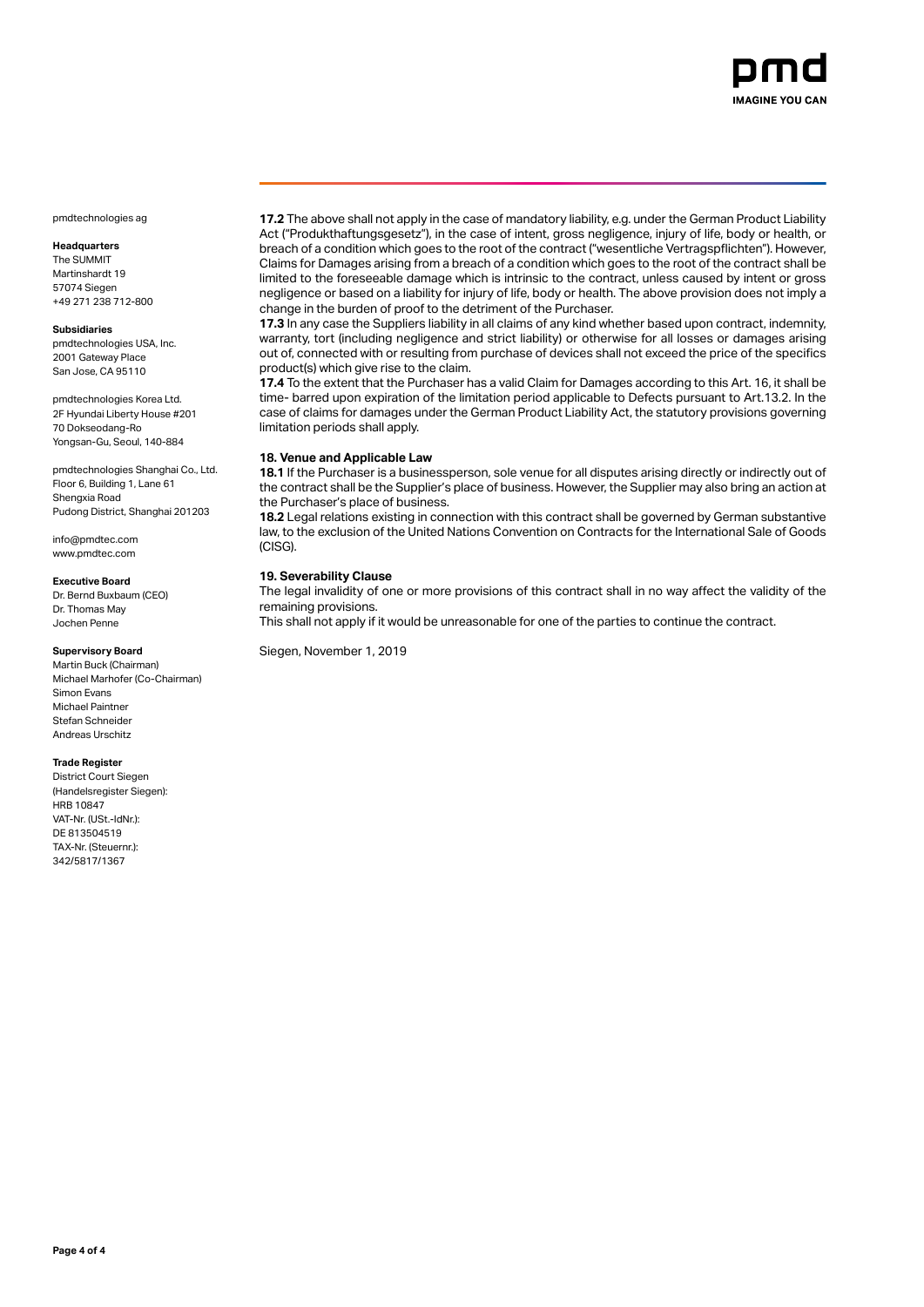

# **Headquarters**

The SUMMIT Martinshardt 19 57074 Siegen +49 271 238 712-800

# **Subsidiaries**

pmdtechnologies USA, Inc. 2001 Gateway Place San Jose, CA 95110

pmdtechnologies Korea Ltd. 2F Hyundai Liberty House #201 70 Dokseodang-Ro Yongsan-Gu, Seoul, 140-884

pmdtechnologies Shanghai Co., Ltd. Floor 6, Building 1, Lane 61 Shengxia Road Pudong District, Shanghai 201203

info@pmdtec.com www.pmdtec.com

#### **Executive Board**

Dr. Bernd Buxbaum (CEO) Dr. Thomas May Jochen Penne

# **Supervisory Board**

Martin Buck (Chairman) Michael Marhofer (Co-Chairman) Simon Evans Michael Paintner Stefan Schneider Andreas Urschitz

# **Trade Register**

District Court Siegen (Handelsregister Siegen): HRB 10847 VAT-Nr. (USt.-IdNr.): DE 813504519 TAX-Nr. (Steuernr.): 342/5817/1367

**17.2** The above shall not apply in the case of mandatory liability, e.g. under the German Product Liability Act ("Produkthaftungsgesetz"), in the case of intent, gross negligence, injury of life, body or health, or breach of a condition which goes to the root of the contract ("wesentliche Vertragspflichten"). However, Claims for Damages arising from a breach of a condition which goes to the root of the contract shall be limited to the foreseeable damage which is intrinsic to the contract, unless caused by intent or gross negligence or based on a liability for injury of life, body or health. The above provision does not imply a change in the burden of proof to the detriment of the Purchaser.

**17.3** In any case the Suppliers liability in all claims of any kind whether based upon contract, indemnity, warranty, tort (including negligence and strict liability) or otherwise for all losses or damages arising out of, connected with or resulting from purchase of devices shall not exceed the price of the specifics product(s) which give rise to the claim.

**17.4** To the extent that the Purchaser has a valid Claim for Damages according to this Art. 16, it shall be time- barred upon expiration of the limitation period applicable to Defects pursuant to Art.13.2. In the case of claims for damages under the German Product Liability Act, the statutory provisions governing limitation periods shall apply.

### **18. Venue and Applicable Law**

**18.1** If the Purchaser is a businessperson, sole venue for all disputes arising directly or indirectly out of the contract shall be the Supplier's place of business. However, the Supplier may also bring an action at the Purchaser's place of business.

**18.2** Legal relations existing in connection with this contract shall be governed by German substantive law, to the exclusion of the United Nations Convention on Contracts for the International Sale of Goods (CISG).

# **19. Severability Clause**

The legal invalidity of one or more provisions of this contract shall in no way affect the validity of the remaining provisions.

This shall not apply if it would be unreasonable for one of the parties to continue the contract.

Siegen, November 1, 2019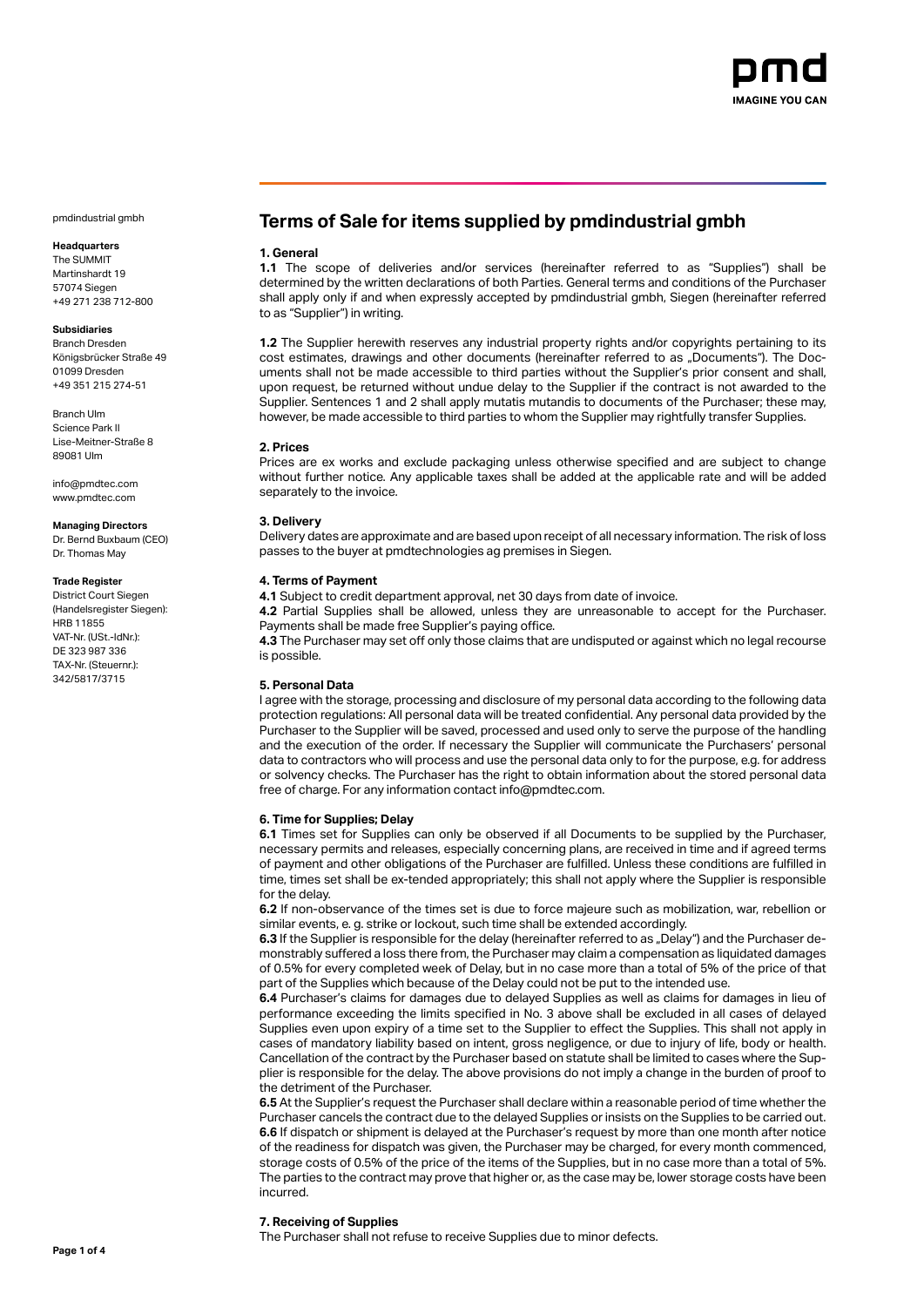

# **Headquarters**

The SUMMIT Martinshardt 19 57074 Siegen +49 271 238 712-800

# **Subsidiaries**

Branch Dresden Königsbrücker Straße 49 01099 Dresden +49 351 215 274-51

Branch Ulm Science Park II Lise-Meitner-Straße 8 89081 Ulm

info@pmdtec.com www.pmdtec.com

#### **Managing Directors**

Dr. Bernd Buxbaum (CEO) Dr. Thomas May

#### **Trade Register**

District Court Siegen (Handelsregister Siegen): HRB 11855 VAT-Nr. (USt.-IdNr.): DE 323 987 336 TAX-Nr. (Steuernr.): 342/5817/3715

# **Terms of Sale for items supplied by pmdindustrial gmbh**

# **1. General**

**1.1** The scope of deliveries and/or services (hereinafter referred to as "Supplies") shall be determined by the written declarations of both Parties. General terms and conditions of the Purchaser shall apply only if and when expressly accepted by pmdindustrial gmbh, Siegen (hereinafter referred to as "Supplier") in writing.

**1.2** The Supplier herewith reserves any industrial property rights and/or copyrights pertaining to its cost estimates, drawings and other documents (hereinafter referred to as "Documents"). The Documents shall not be made accessible to third parties without the Supplier's prior consent and shall, upon request, be returned without undue delay to the Supplier if the contract is not awarded to the Supplier. Sentences 1 and 2 shall apply mutatis mutandis to documents of the Purchaser; these may, however, be made accessible to third parties to whom the Supplier may rightfully transfer Supplies.

# **2. Prices**

Prices are ex works and exclude packaging unless otherwise specified and are subject to change without further notice. Any applicable taxes shall be added at the applicable rate and will be added separately to the invoice.

# **3. Delivery**

Delivery dates are approximate and are based upon receipt of all necessary information. The risk of loss passes to the buyer at pmdtechnologies ag premises in Siegen.

# **4. Terms of Payment**

**4.1** Subject to credit department approval, net 30 days from date of invoice.

**4.2** Partial Supplies shall be allowed, unless they are unreasonable to accept for the Purchaser. Payments shall be made free Supplier's paying office.

**4.3** The Purchaser may set off only those claims that are undisputed or against which no legal recourse is possible.

# **5. Personal Data**

I agree with the storage, processing and disclosure of my personal data according to the following data protection regulations: All personal data will be treated confidential. Any personal data provided by the Purchaser to the Supplier will be saved, processed and used only to serve the purpose of the handling and the execution of the order. If necessary the Supplier will communicate the Purchasers' personal data to contractors who will process and use the personal data only to for the purpose, e.g. for address or solvency checks. The Purchaser has the right to obtain information about the stored personal data free of charge. For any information contact info@pmdtec.com.

# **6. Time for Supplies; Delay**

**6.1** Times set for Supplies can only be observed if all Documents to be supplied by the Purchaser, necessary permits and releases, especially concerning plans, are received in time and if agreed terms of payment and other obligations of the Purchaser are fulfilled. Unless these conditions are fulfilled in time, times set shall be ex-tended appropriately; this shall not apply where the Supplier is responsible for the delay.

**6.2** If non-observance of the times set is due to force majeure such as mobilization, war, rebellion or similar events, e. g. strike or lockout, such time shall be extended accordingly.

**6.3** If the Supplier is responsible for the delay (hereinafter referred to as "Delay") and the Purchaser demonstrably suffered a loss there from, the Purchaser may claim a compensation as liquidated damages of 0.5% for every completed week of Delay, but in no case more than a total of 5% of the price of that part of the Supplies which because of the Delay could not be put to the intended use.

**6.4** Purchaser's claims for damages due to delayed Supplies as well as claims for damages in lieu of performance exceeding the limits specified in No. 3 above shall be excluded in all cases of delayed Supplies even upon expiry of a time set to the Supplier to effect the Supplies. This shall not apply in cases of mandatory liability based on intent, gross negligence, or due to injury of life, body or health. Cancellation of the contract by the Purchaser based on statute shall be limited to cases where the Supplier is responsible for the delay. The above provisions do not imply a change in the burden of proof to the detriment of the Purchaser.

**6.5** At the Supplier's request the Purchaser shall declare within a reasonable period of time whether the Purchaser cancels the contract due to the delayed Supplies or insists on the Supplies to be carried out. **6.6** If dispatch or shipment is delayed at the Purchaser's request by more than one month after notice of the readiness for dispatch was given, the Purchaser may be charged, for every month commenced, storage costs of 0.5% of the price of the items of the Supplies, but in no case more than a total of 5%. The parties to the contract may prove that higher or, as the case may be, lower storage costs have been incurred.

# **7. Receiving of Supplies**

The Purchaser shall not refuse to receive Supplies due to minor defects.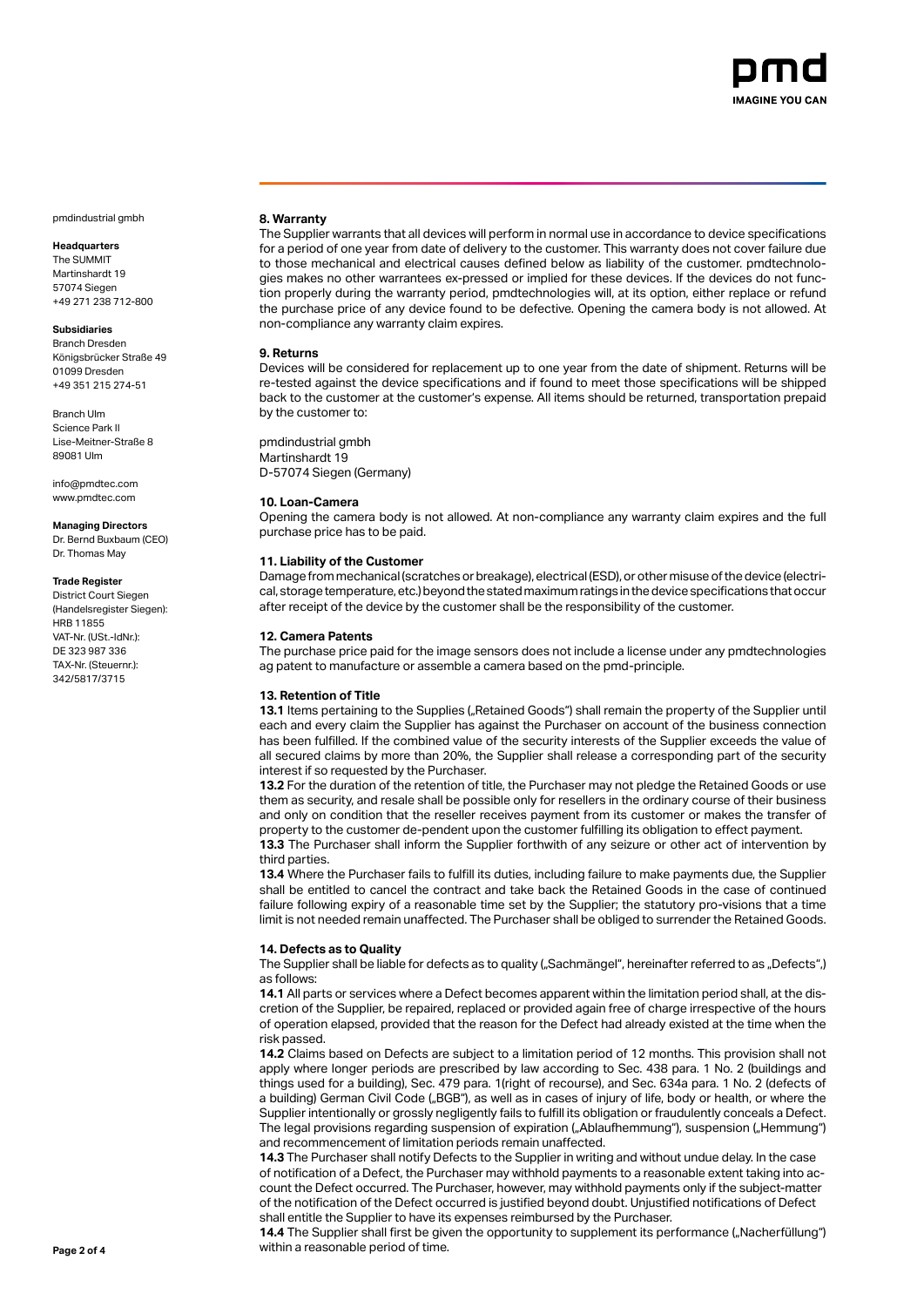

# **Headquarters**

The SUMMIT Martinshardt 19 57074 Siegen +49 271 238 712-800

# **Subsidiaries**

Branch Dresden Königsbrücker Straße 49 01099 Dresden +49 351 215 274-51

Branch Ulm Science Park II Lise-Meitner-Straße 8 89081 Ulm

info@pmdtec.com www.pmdtec.com

#### **Managing Directors**

Dr. Bernd Buxbaum (CEO) Dr. Thomas May

### **Trade Register**

District Court Siegen (Handelsregister Siegen): HRB 11855 VAT-Nr. (USt.-IdNr.): DE 323 987 336 TAX-Nr. (Steuernr.): 342/5817/3715

### **8. Warranty**

The Supplier warrants that all devices will perform in normal use in accordance to device specifications for a period of one year from date of delivery to the customer. This warranty does not cover failure due to those mechanical and electrical causes defined below as liability of the customer. pmdtechnologies makes no other warrantees ex-pressed or implied for these devices. If the devices do not function properly during the warranty period, pmdtechnologies will, at its option, either replace or refund the purchase price of any device found to be defective. Opening the camera body is not allowed. At non-compliance any warranty claim expires.

### **9. Returns**

Devices will be considered for replacement up to one year from the date of shipment. Returns will be re-tested against the device specifications and if found to meet those specifications will be shipped back to the customer at the customer's expense. All items should be returned, transportation prepaid by the customer to:

pmdindustrial gmbh Martinshardt 19 D-57074 Siegen (Germany)

# **10. Loan-Camera**

Opening the camera body is not allowed. At non-compliance any warranty claim expires and the full purchase price has to be paid.

# **11. Liability of the Customer**

Damage from mechanical (scratches or breakage), electrical (ESD), or other misuse of the device (electrical, storage temperature, etc.) beyond the stated maximum ratings in the device specifications that occur after receipt of the device by the customer shall be the responsibility of the customer.

# **12. Camera Patents**

The purchase price paid for the image sensors does not include a license under any pmdtechnologies ag patent to manufacture or assemble a camera based on the pmd-principle.

### **13. Retention of Title**

13.1 Items pertaining to the Supplies ("Retained Goods") shall remain the property of the Supplier until each and every claim the Supplier has against the Purchaser on account of the business connection has been fulfilled. If the combined value of the security interests of the Supplier exceeds the value of all secured claims by more than 20%, the Supplier shall release a corresponding part of the security interest if so requested by the Purchaser.

**13.2** For the duration of the retention of title, the Purchaser may not pledge the Retained Goods or use them as security, and resale shall be possible only for resellers in the ordinary course of their business and only on condition that the reseller receives payment from its customer or makes the transfer of property to the customer de-pendent upon the customer fulfilling its obligation to effect payment.

**13.3** The Purchaser shall inform the Supplier forthwith of any seizure or other act of intervention by third parties.

**13.4** Where the Purchaser fails to fulfill its duties, including failure to make payments due, the Supplier shall be entitled to cancel the contract and take back the Retained Goods in the case of continued failure following expiry of a reasonable time set by the Supplier; the statutory pro-visions that a time limit is not needed remain unaffected. The Purchaser shall be obliged to surrender the Retained Goods.

### **14. Defects as to Quality**

The Supplier shall be liable for defects as to quality ("Sachmängel", hereinafter referred to as "Defects",) as follows:

**14.1** All parts or services where a Defect becomes apparent within the limitation period shall, at the discretion of the Supplier, be repaired, replaced or provided again free of charge irrespective of the hours of operation elapsed, provided that the reason for the Defect had already existed at the time when the risk passed.

**14.2** Claims based on Defects are subject to a limitation period of 12 months. This provision shall not apply where longer periods are prescribed by law according to Sec. 438 para. 1 No. 2 (buildings and things used for a building), Sec. 479 para. 1(right of recourse), and Sec. 634a para. 1 No. 2 (defects of a building) German Civil Code ("BGB"), as well as in cases of injury of life, body or health, or where the Supplier intentionally or grossly negligently fails to fulfill its obligation or fraudulently conceals a Defect. The legal provisions regarding suspension of expiration ("Ablaufhemmung"), suspension ("Hemmung") and recommencement of limitation periods remain unaffected.

**14.3** The Purchaser shall notify Defects to the Supplier in writing and without undue delay. In the case of notification of a Defect, the Purchaser may withhold payments to a reasonable extent taking into account the Defect occurred. The Purchaser, however, may withhold payments only if the subject-matter of the notification of the Defect occurred is justified beyond doubt. Unjustified notifications of Defect shall entitle the Supplier to have its expenses reimbursed by the Purchaser.

14.4 The Supplier shall first be given the opportunity to supplement its performance ("Nacherfüllung") **Page 2 of 4** within a reasonable period of time.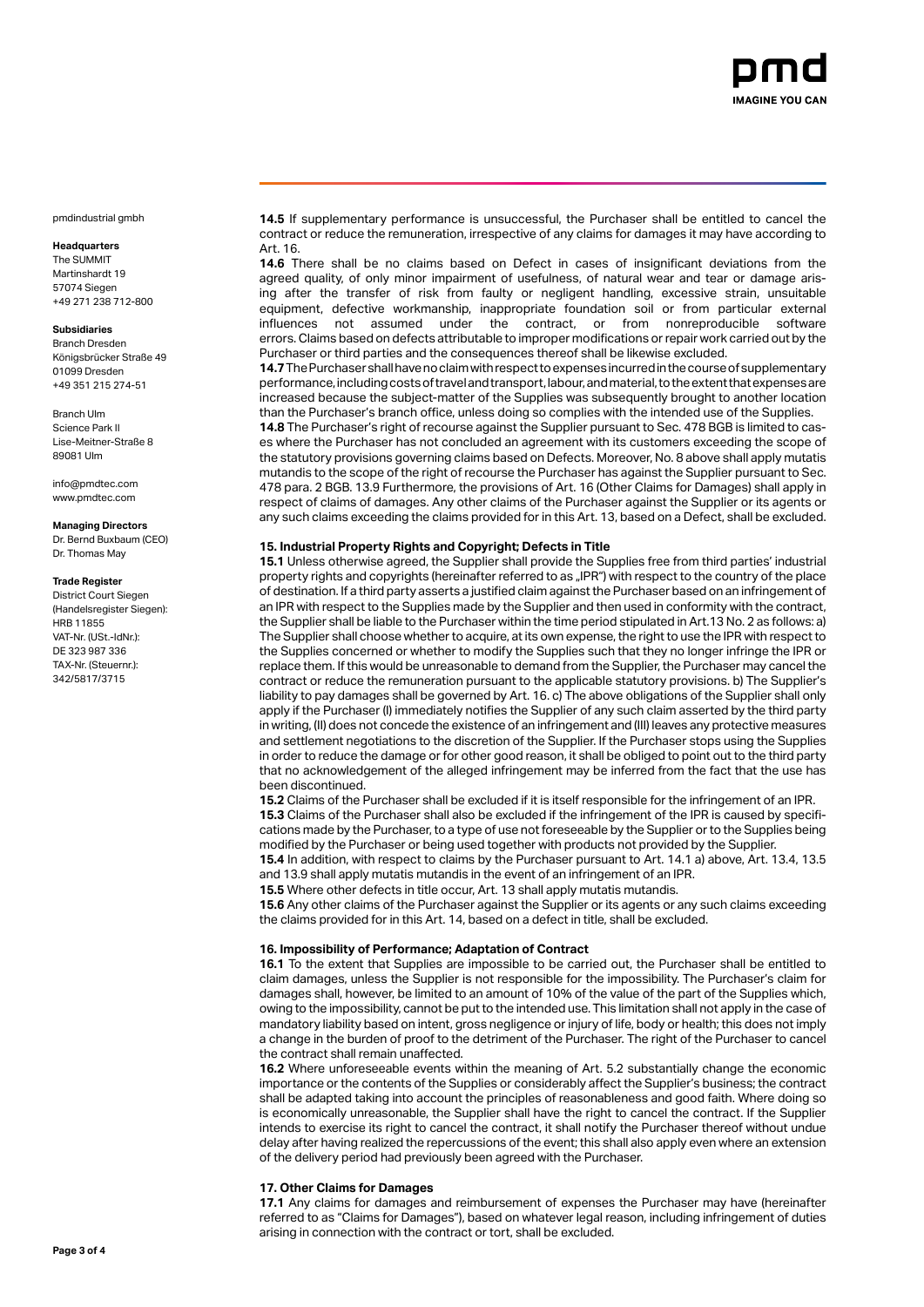

# **Headquarters**

The SUMMIT Martinshardt 19 57074 Siegen +49 271 238 712-800

# **Subsidiaries**

Branch Dresden Königsbrücker Straße 49 01099 Dresden +49 351 215 274-51

Branch Ulm Science Park II Lise-Meitner-Straße 8 89081 Ulm

info@pmdtec.com www.pmdtec.com

#### **Managing Directors**

Dr. Bernd Buxbaum (CEO) Dr. Thomas May

#### **Trade Register**

District Court Siegen (Handelsregister Siegen): HRB 11855 VAT-Nr. (USt.-IdNr.): DE 323 987 336 TAX-Nr. (Steuernr.): 342/5817/3715

**14.5** If supplementary performance is unsuccessful, the Purchaser shall be entitled to cancel the contract or reduce the remuneration, irrespective of any claims for damages it may have according to Art. 16.

**14.6** There shall be no claims based on Defect in cases of insignificant deviations from the agreed quality, of only minor impairment of usefulness, of natural wear and tear or damage arising after the transfer of risk from faulty or negligent handling, excessive strain, unsuitable equipment, defective workmanship, inappropriate foundation soil or from particular external<br>
influences not assumed under the contract, or from nonreproducible software contract, or from nonreproducible errors. Claims based on defects attributable to improper modifications or repair work carried out by the Purchaser or third parties and the consequences thereof shall be likewise excluded.

**14.7** The Purchaser shall have no claim with respect to expenses incurred in the course of supplementary performance, including costs of travel and transport, labour, and material, to the extent that expenses are increased because the subject-matter of the Supplies was subsequently brought to another location than the Purchaser's branch office, unless doing so complies with the intended use of the Supplies.

**14.8** The Purchaser's right of recourse against the Supplier pursuant to Sec. 478 BGB is limited to cases where the Purchaser has not concluded an agreement with its customers exceeding the scope of the statutory provisions governing claims based on Defects. Moreover, No. 8 above shall apply mutatis mutandis to the scope of the right of recourse the Purchaser has against the Supplier pursuant to Sec. 478 para. 2 BGB. 13.9 Furthermore, the provisions of Art. 16 (Other Claims for Damages) shall apply in respect of claims of damages. Any other claims of the Purchaser against the Supplier or its agents or any such claims exceeding the claims provided for in this Art. 13, based on a Defect, shall be excluded.

### **15. Industrial Property Rights and Copyright; Defects in Title**

**15.1** Unless otherwise agreed, the Supplier shall provide the Supplies free from third parties' industrial property rights and copyrights (hereinafter referred to as "IPR") with respect to the country of the place of destination. If a third party asserts a justified claim against the Purchaser based on an infringement of an IPR with respect to the Supplies made by the Supplier and then used in conformity with the contract, the Supplier shall be liable to the Purchaser within the time period stipulated in Art.13 No. 2 as follows: a) The Supplier shall choose whether to acquire, at its own expense, the right to use the IPR with respect to the Supplies concerned or whether to modify the Supplies such that they no longer infringe the IPR or replace them. If this would be unreasonable to demand from the Supplier, the Purchaser may cancel the contract or reduce the remuneration pursuant to the applicable statutory provisions. b) The Supplier's liability to pay damages shall be governed by Art. 16. c) The above obligations of the Supplier shall only apply if the Purchaser (I) immediately notifies the Supplier of any such claim asserted by the third party in writing, (II) does not concede the existence of an infringement and (III) leaves any protective measures and settlement negotiations to the discretion of the Supplier. If the Purchaser stops using the Supplies in order to reduce the damage or for other good reason, it shall be obliged to point out to the third party that no acknowledgement of the alleged infringement may be inferred from the fact that the use has been discontinued.

**15.2** Claims of the Purchaser shall be excluded if it is itself responsible for the infringement of an IPR. **15.3** Claims of the Purchaser shall also be excluded if the infringement of the IPR is caused by specifications made by the Purchaser, to a type of use not foreseeable by the Supplier or to the Supplies being modified by the Purchaser or being used together with products not provided by the Supplier.

**15.4** In addition, with respect to claims by the Purchaser pursuant to Art. 14.1 a) above, Art. 13.4, 13.5 and 13.9 shall apply mutatis mutandis in the event of an infringement of an IPR.

**15.5** Where other defects in title occur, Art. 13 shall apply mutatis mutandis.

**15.6** Any other claims of the Purchaser against the Supplier or its agents or any such claims exceeding the claims provided for in this Art. 14, based on a defect in title, shall be excluded.

# **16. Impossibility of Performance; Adaptation of Contract**

**16.1** To the extent that Supplies are impossible to be carried out, the Purchaser shall be entitled to claim damages, unless the Supplier is not responsible for the impossibility. The Purchaser's claim for damages shall, however, be limited to an amount of 10% of the value of the part of the Supplies which, owing to the impossibility, cannot be put to the intended use. This limitation shall not apply in the case of mandatory liability based on intent, gross negligence or injury of life, body or health; this does not imply a change in the burden of proof to the detriment of the Purchaser. The right of the Purchaser to cancel the contract shall remain unaffected.

**16.2** Where unforeseeable events within the meaning of Art. 5.2 substantially change the economic importance or the contents of the Supplies or considerably affect the Supplier's business; the contract shall be adapted taking into account the principles of reasonableness and good faith. Where doing so is economically unreasonable, the Supplier shall have the right to cancel the contract. If the Supplier intends to exercise its right to cancel the contract, it shall notify the Purchaser thereof without undue delay after having realized the repercussions of the event; this shall also apply even where an extension of the delivery period had previously been agreed with the Purchaser.

### **17. Other Claims for Damages**

**17.1** Any claims for damages and reimbursement of expenses the Purchaser may have (hereinafter referred to as "Claims for Damages"), based on whatever legal reason, including infringement of duties arising in connection with the contract or tort, shall be excluded.